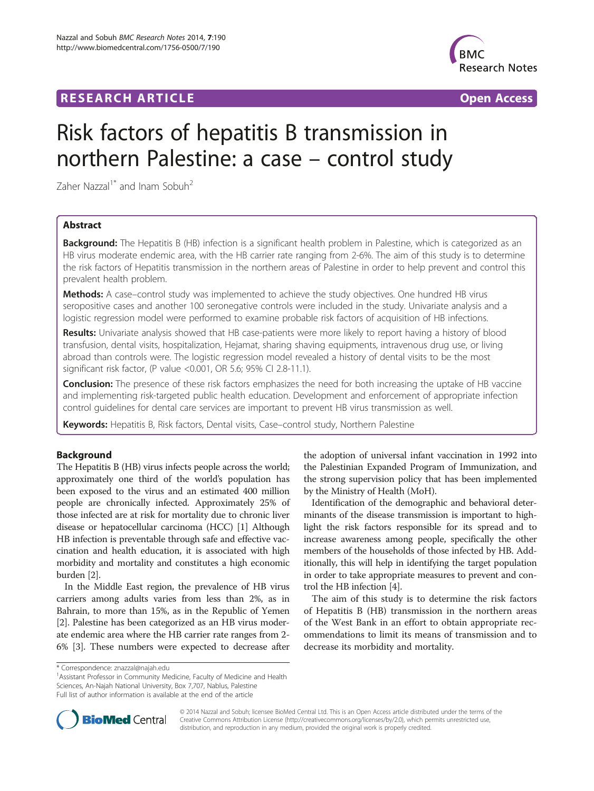# **RESEARCH ARTICLE Example 2014 CONSIDERING A RESEARCH ARTICLE**



# Risk factors of hepatitis B transmission in northern Palestine: a case – control study

Zaher Nazzal<sup>1\*</sup> and Inam Sobuh<sup>2</sup>

# Abstract

Background: The Hepatitis B (HB) infection is a significant health problem in Palestine, which is categorized as an HB virus moderate endemic area, with the HB carrier rate ranging from 2-6%. The aim of this study is to determine the risk factors of Hepatitis transmission in the northern areas of Palestine in order to help prevent and control this prevalent health problem.

**Methods:** A case–control study was implemented to achieve the study objectives. One hundred HB virus seropositive cases and another 100 seronegative controls were included in the study. Univariate analysis and a logistic regression model were performed to examine probable risk factors of acquisition of HB infections.

Results: Univariate analysis showed that HB case-patients were more likely to report having a history of blood transfusion, dental visits, hospitalization, Hejamat, sharing shaving equipments, intravenous drug use, or living abroad than controls were. The logistic regression model revealed a history of dental visits to be the most significant risk factor, (P value <0.001, OR 5.6; 95% CI 2.8-11.1).

**Conclusion:** The presence of these risk factors emphasizes the need for both increasing the uptake of HB vaccine and implementing risk-targeted public health education. Development and enforcement of appropriate infection control guidelines for dental care services are important to prevent HB virus transmission as well.

Keywords: Hepatitis B, Risk factors, Dental visits, Case-control study, Northern Palestine

## Background

The Hepatitis B (HB) virus infects people across the world; approximately one third of the world's population has been exposed to the virus and an estimated 400 million people are chronically infected. Approximately 25% of those infected are at risk for mortality due to chronic liver disease or hepatocellular carcinoma (HCC) [[1\]](#page-5-0) Although HB infection is preventable through safe and effective vaccination and health education, it is associated with high morbidity and mortality and constitutes a high economic burden [\[2\]](#page-5-0).

In the Middle East region, the prevalence of HB virus carriers among adults varies from less than 2%, as in Bahrain, to more than 15%, as in the Republic of Yemen [[2\]](#page-5-0). Palestine has been categorized as an HB virus moderate endemic area where the HB carrier rate ranges from 2- 6% [[3\]](#page-5-0). These numbers were expected to decrease after

<sup>1</sup> Assistant Professor in Community Medicine, Faculty of Medicine and Health Sciences, An-Najah National University, Box 7,707, Nablus, Palestine Full list of author information is available at the end of the article

the adoption of universal infant vaccination in 1992 into the Palestinian Expanded Program of Immunization, and the strong supervision policy that has been implemented by the Ministry of Health (MoH).

Identification of the demographic and behavioral determinants of the disease transmission is important to highlight the risk factors responsible for its spread and to increase awareness among people, specifically the other members of the households of those infected by HB. Additionally, this will help in identifying the target population in order to take appropriate measures to prevent and control the HB infection [\[4](#page-5-0)].

The aim of this study is to determine the risk factors of Hepatitis B (HB) transmission in the northern areas of the West Bank in an effort to obtain appropriate recommendations to limit its means of transmission and to decrease its morbidity and mortality.



© 2014 Nazzal and Sobuh; licensee BioMed Central Ltd. This is an Open Access article distributed under the terms of the Creative Commons Attribution License (<http://creativecommons.org/licenses/by/2.0>), which permits unrestricted use, distribution, and reproduction in any medium, provided the original work is properly credited.

<sup>\*</sup> Correspondence: [znazzal@najah.edu](mailto:znazzal@najah.edu) <sup>1</sup>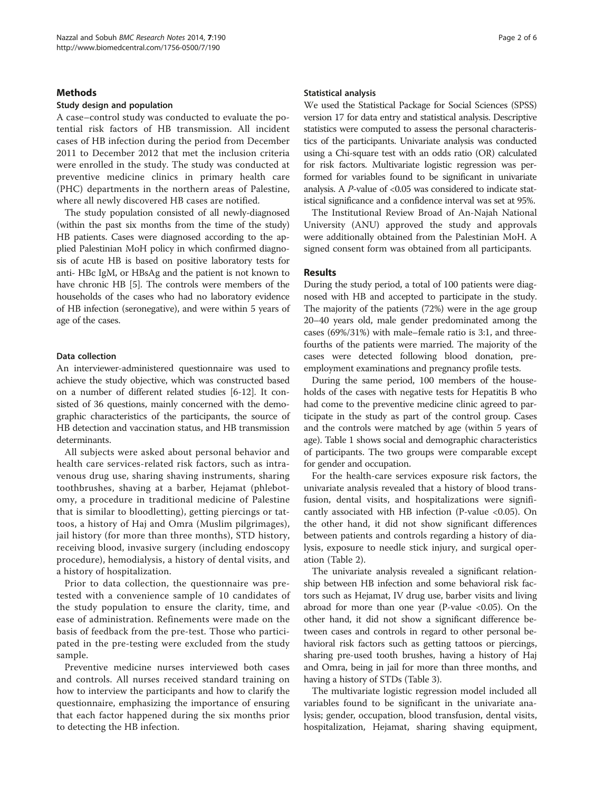#### **Methods**

#### Study design and population

A case–control study was conducted to evaluate the potential risk factors of HB transmission. All incident cases of HB infection during the period from December 2011 to December 2012 that met the inclusion criteria were enrolled in the study. The study was conducted at preventive medicine clinics in primary health care (PHC) departments in the northern areas of Palestine, where all newly discovered HB cases are notified.

The study population consisted of all newly-diagnosed (within the past six months from the time of the study) HB patients. Cases were diagnosed according to the applied Palestinian MoH policy in which confirmed diagnosis of acute HB is based on positive laboratory tests for anti- HBc IgM, or HBsAg and the patient is not known to have chronic HB [[5\]](#page-5-0). The controls were members of the households of the cases who had no laboratory evidence of HB infection (seronegative), and were within 5 years of age of the cases.

#### Data collection

An interviewer-administered questionnaire was used to achieve the study objective, which was constructed based on a number of different related studies [\[6-12\]](#page-5-0). It consisted of 36 questions, mainly concerned with the demographic characteristics of the participants, the source of HB detection and vaccination status, and HB transmission determinants.

All subjects were asked about personal behavior and health care services-related risk factors, such as intravenous drug use, sharing shaving instruments, sharing toothbrushes, shaving at a barber, Hejamat (phlebotomy, a procedure in traditional medicine of Palestine that is similar to bloodletting), getting piercings or tattoos, a history of Haj and Omra (Muslim pilgrimages), jail history (for more than three months), STD history, receiving blood, invasive surgery (including endoscopy procedure), hemodialysis, a history of dental visits, and a history of hospitalization.

Prior to data collection, the questionnaire was pretested with a convenience sample of 10 candidates of the study population to ensure the clarity, time, and ease of administration. Refinements were made on the basis of feedback from the pre-test. Those who participated in the pre-testing were excluded from the study sample.

Preventive medicine nurses interviewed both cases and controls. All nurses received standard training on how to interview the participants and how to clarify the questionnaire, emphasizing the importance of ensuring that each factor happened during the six months prior to detecting the HB infection.

#### Statistical analysis

We used the Statistical Package for Social Sciences (SPSS) version 17 for data entry and statistical analysis. Descriptive statistics were computed to assess the personal characteristics of the participants. Univariate analysis was conducted using a Chi-square test with an odds ratio (OR) calculated for risk factors. Multivariate logistic regression was performed for variables found to be significant in univariate analysis. A P-value of <0.05 was considered to indicate statistical significance and a confidence interval was set at 95%.

The Institutional Review Broad of An-Najah National University (ANU) approved the study and approvals were additionally obtained from the Palestinian MoH. A signed consent form was obtained from all participants.

#### Results

During the study period, a total of 100 patients were diagnosed with HB and accepted to participate in the study. The majority of the patients (72%) were in the age group 20–40 years old, male gender predominated among the cases (69%/31%) with male–female ratio is 3:1, and threefourths of the patients were married. The majority of the cases were detected following blood donation, preemployment examinations and pregnancy profile tests.

During the same period, 100 members of the households of the cases with negative tests for Hepatitis B who had come to the preventive medicine clinic agreed to participate in the study as part of the control group. Cases and the controls were matched by age (within 5 years of age). Table [1](#page-2-0) shows social and demographic characteristics of participants. The two groups were comparable except for gender and occupation.

For the health-care services exposure risk factors, the univariate analysis revealed that a history of blood transfusion, dental visits, and hospitalizations were significantly associated with HB infection (P-value <0.05). On the other hand, it did not show significant differences between patients and controls regarding a history of dialysis, exposure to needle stick injury, and surgical operation (Table [2\)](#page-2-0).

The univariate analysis revealed a significant relationship between HB infection and some behavioral risk factors such as Hejamat, IV drug use, barber visits and living abroad for more than one year (P-value  $< 0.05$ ). On the other hand, it did not show a significant difference between cases and controls in regard to other personal behavioral risk factors such as getting tattoos or piercings, sharing pre-used tooth brushes, having a history of Haj and Omra, being in jail for more than three months, and having a history of STDs (Table [3\)](#page-3-0).

The multivariate logistic regression model included all variables found to be significant in the univariate analysis; gender, occupation, blood transfusion, dental visits, hospitalization, Hejamat, sharing shaving equipment,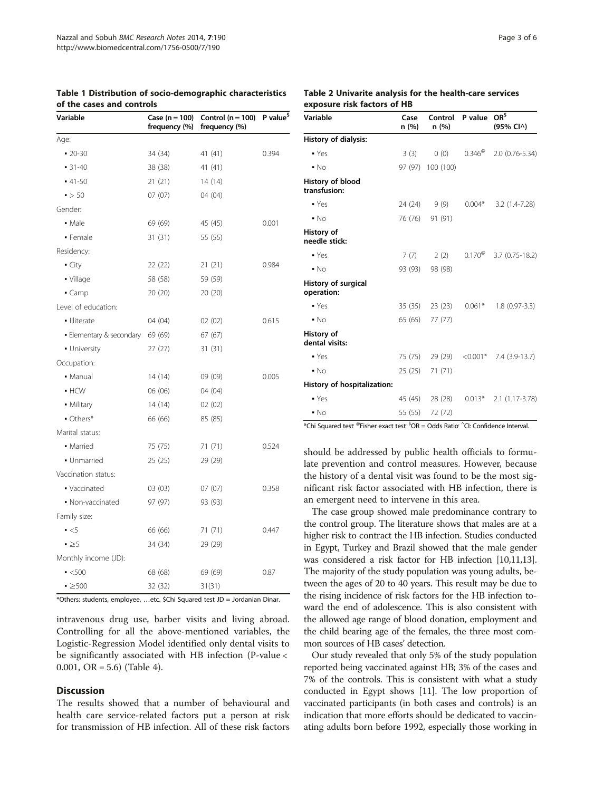| Variable                 | Case ( $n = 100$ )<br>frequency (%) | Control ( $n = 100$ )<br>frequency (%) | P value <sup>5</sup> |
|--------------------------|-------------------------------------|----------------------------------------|----------------------|
| Age:                     |                                     |                                        |                      |
| $-20-30$                 | 34 (34)                             | 41 (41)                                | 0.394                |
| $-31-40$                 | 38 (38)                             | 41 (41)                                |                      |
| $-41-50$                 | 21 (21)                             | 14 (14)                                |                      |
| $\bullet$ > 50           | 07(07)                              | 04 (04)                                |                      |
| Gender:                  |                                     |                                        |                      |
| • Male                   | 69 (69)                             | 45 (45)                                | 0.001                |
| • Female                 | 31(31)                              | 55 (55)                                |                      |
| Residency:               |                                     |                                        |                      |
| $\blacksquare$ City      | 22 (22)                             | 21(21)                                 | 0.984                |
| • Village                | 58 (58)                             | 59 (59)                                |                      |
| $\blacksquare$ Camp      | 20(20)                              | 20 (20)                                |                      |
| Level of education:      |                                     |                                        |                      |
| · Illiterate             | 04 (04)                             | 02 (02)                                | 0.615                |
| • Elementary & secondary | 69 (69)                             | 67(67)                                 |                      |
| • University             | 27 (27)                             | 31(31)                                 |                      |
| Occupation:              |                                     |                                        |                      |
| • Manual                 | 14 (14)                             | 09 (09)                                | 0.005                |
| $-HCW$                   | 06 (06)                             | 04 (04)                                |                      |
| • Military               | 14 (14)                             | 02 (02)                                |                      |
| · Others*                | 66 (66)                             | 85 (85)                                |                      |
| Marital status:          |                                     |                                        |                      |
| • Married                | 75 (75)                             | 71 (71)                                | 0.524                |
| • Unmarried              | 25(25)                              | 29 (29)                                |                      |
| Vaccination status:      |                                     |                                        |                      |
| • Vaccinated             | 03 (03)                             | 07 (07)                                | 0.358                |
| • Non-vaccinated         | 97 (97)                             | 93 (93)                                |                      |
| Family size:             |                                     |                                        |                      |
| $\cdot$ <5               | 66 (66)                             | 71 (71)                                | 0.447                |
| • ≥5                     | 34 (34)                             | 29 (29)                                |                      |
| Monthly income (JD):     |                                     |                                        |                      |
| $-500$                   | 68 (68)                             | 69 (69)                                | 0.87                 |
| $\geq 500$               | 32 (32)                             | 31(31)                                 |                      |

<span id="page-2-0"></span>Table 1 Distribution of socio-demographic characteristics of the cases and controls

\*Others: students, employee, …etc. \$Chi Squared test JD = Jordanian Dinar.

intravenous drug use, barber visits and living abroad. Controlling for all the above-mentioned variables, the Logistic-Regression Model identified only dental visits to be significantly associated with HB infection (P-value < 0.001, OR = 5.6) (Table [4](#page-4-0)).

#### **Discussion**

The results showed that a number of behavioural and health care service-related factors put a person at risk for transmission of HB infection. All of these risk factors

#### Table 2 Univarite analysis for the health-care services exposure risk factors of HB

| Variable                          | Case<br>n(%) | Control<br>n (%)  | P value                     | OR <sup>5</sup><br>(95% CIA)    |
|-----------------------------------|--------------|-------------------|-----------------------------|---------------------------------|
| History of dialysis:              |              |                   |                             |                                 |
| Yes                               | 3(3)         |                   | $0(0)$ $0.346^{\circ\circ}$ | $2.0(0.76 - 5.34)$              |
| $\blacksquare$ No                 |              | 97 (97) 100 (100) |                             |                                 |
| History of blood<br>transfusion:  |              |                   |                             |                                 |
| • Yes                             | 24 (24)      | 9(9)              | $0.004*$                    | $3.2(1.4-7.28)$                 |
| $\blacksquare$ No                 | 76 (76)      | 91 (91)           |                             |                                 |
| History of<br>needle stick:       |              |                   |                             |                                 |
| • Yes                             | 7 (7)        | 2(2)              |                             | $0.170^{\circ}$ 3.7 (0.75-18.2) |
| $\blacksquare$ No                 |              | 93 (93) 98 (98)   |                             |                                 |
| History of surgical<br>operation: |              |                   |                             |                                 |
| Yes                               | 35 (35)      | 23 (23)           | $0.061*$                    | $1.8(0.97-3.3)$                 |
| $\blacksquare$ No                 | 65 (65)      | 77 (77)           |                             |                                 |
| History of<br>dental visits:      |              |                   |                             |                                 |
| • Yes                             | 75 (75)      | 29 (29)           | $<$ 0.001*                  | $7.4(3.9-13.7)$                 |
| $\blacksquare$ No                 | 25 (25)      | 71 (71)           |                             |                                 |
| History of hospitalization:       |              |                   |                             |                                 |
| Yes                               | 45 (45)      | 28 (28)           | $0.013*$                    | $2.1(1.17-3.78)$                |
| $\blacksquare$ No                 | 55 (55)      | 72 (72)           |                             |                                 |

\*Chi Squared test<sup>, @</sup>Fisher exact test<sup>, \$</sup>OR = Odds Ratio<sup>, ^</sup>CI: Confidence Interval.

should be addressed by public health officials to formulate prevention and control measures. However, because the history of a dental visit was found to be the most significant risk factor associated with HB infection, there is an emergent need to intervene in this area.

The case group showed male predominance contrary to the control group. The literature shows that males are at a higher risk to contract the HB infection. Studies conducted in Egypt, Turkey and Brazil showed that the male gender was considered a risk factor for HB infection [\[10,11,13](#page-5-0)]. The majority of the study population was young adults, between the ages of 20 to 40 years. This result may be due to the rising incidence of risk factors for the HB infection toward the end of adolescence. This is also consistent with the allowed age range of blood donation, employment and the child bearing age of the females, the three most common sources of HB cases' detection.

Our study revealed that only 5% of the study population reported being vaccinated against HB; 3% of the cases and 7% of the controls. This is consistent with what a study conducted in Egypt shows [\[11](#page-5-0)]. The low proportion of vaccinated participants (in both cases and controls) is an indication that more efforts should be dedicated to vaccinating adults born before 1992, especially those working in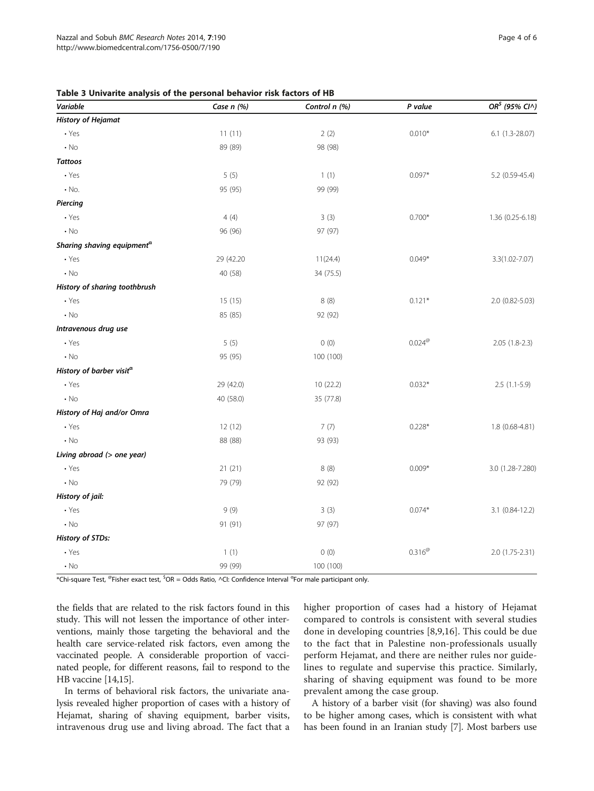<span id="page-3-0"></span>Table 3 Univarite analysis of the personal behavior risk factors of HB

| Variable                               | Case n (%) | Control n (%) | P value         | OR <sup>\$</sup> (95% CI^) |
|----------------------------------------|------------|---------------|-----------------|----------------------------|
| <b>History of Hejamat</b>              |            |               |                 |                            |
| $\cdot$ Yes                            | 11(11)     | 2(2)          | $0.010*$        | 6.1 (1.3-28.07)            |
| $\boldsymbol{\cdot}$ No                | 89 (89)    | 98 (98)       |                 |                            |
| <b>Tattoos</b>                         |            |               |                 |                            |
| • Yes                                  | 5(5)       | 1(1)          | $0.097*$        | 5.2 (0.59-45.4)            |
| $\cdot$ No.                            | 95 (95)    | 99 (99)       |                 |                            |
| Piercing                               |            |               |                 |                            |
| • Yes                                  | 4(4)       | 3(3)          | $0.700*$        | 1.36 (0.25-6.18)           |
| $\cdot$ No                             | 96 (96)    | 97 (97)       |                 |                            |
| Sharing shaving equipment <sup>a</sup> |            |               |                 |                            |
| • Yes                                  | 29 (42.20  | 11(24.4)      | $0.049*$        | 3.3(1.02-7.07)             |
| $\cdot$ No                             | 40 (58)    | 34 (75.5)     |                 |                            |
| History of sharing toothbrush          |            |               |                 |                            |
| • Yes                                  | 15(15)     | 8(8)          | $0.121*$        | 2.0 (0.82-5.03)            |
| $\cdot$ No                             | 85 (85)    | 92 (92)       |                 |                            |
| Intravenous drug use                   |            |               |                 |                            |
| • Yes                                  | 5(5)       | 0(0)          | $0.024^\circ$   | $2.05(1.8-2.3)$            |
| $\boldsymbol{\cdot}$ No                | 95 (95)    | 100 (100)     |                 |                            |
| History of barber visit <sup>a</sup>   |            |               |                 |                            |
| • Yes                                  | 29 (42.0)  | 10 (22.2)     | $0.032*$        | $2.5(1.1-5.9)$             |
| $\cdot$ No                             | 40 (58.0)  | 35 (77.8)     |                 |                            |
| History of Haj and/or Omra             |            |               |                 |                            |
| $\cdot$ Yes                            | 12(12)     | 7(7)          | $0.228*$        | 1.8 (0.68-4.81)            |
| $\cdot$ No                             | 88 (88)    | 93 (93)       |                 |                            |
| Living abroad (> one year)             |            |               |                 |                            |
| • Yes                                  | 21(21)     | 8(8)          | $0.009*$        | 3.0 (1.28-7.280)           |
| $\boldsymbol{\cdot}$ No                | 79 (79)    | 92 (92)       |                 |                            |
| History of jail:                       |            |               |                 |                            |
| • Yes                                  | 9(9)       | 3(3)          | $0.074*$        | 3.1 (0.84-12.2)            |
| $\boldsymbol{\cdot}$ No                | 91 (91)    | 97 (97)       |                 |                            |
| History of STDs:                       |            |               |                 |                            |
| • Yes                                  | 1(1)       | 0(0)          | $0.316^{\circ}$ | 2.0 (1.75-2.31)            |
| $\boldsymbol{\cdot}$ No                | 99 (99)    | 100 (100)     |                 |                            |

\*Chi-square Test, <sup>@</sup>Fisher exact test, <sup>\$</sup>OR = Odds Ratio, ^CI: Confidence Interval <sup>a</sup>For male participant only.

the fields that are related to the risk factors found in this study. This will not lessen the importance of other interventions, mainly those targeting the behavioral and the health care service-related risk factors, even among the vaccinated people. A considerable proportion of vaccinated people, for different reasons, fail to respond to the HB vaccine [[14,15\]](#page-5-0).

In terms of behavioral risk factors, the univariate analysis revealed higher proportion of cases with a history of Hejamat, sharing of shaving equipment, barber visits, intravenous drug use and living abroad. The fact that a higher proportion of cases had a history of Hejamat compared to controls is consistent with several studies done in developing countries [\[8](#page-5-0),[9,16\]](#page-5-0). This could be due to the fact that in Palestine non-professionals usually perform Hejamat, and there are neither rules nor guidelines to regulate and supervise this practice. Similarly, sharing of shaving equipment was found to be more prevalent among the case group.

A history of a barber visit (for shaving) was also found to be higher among cases, which is consistent with what has been found in an Iranian study [[7\]](#page-5-0). Most barbers use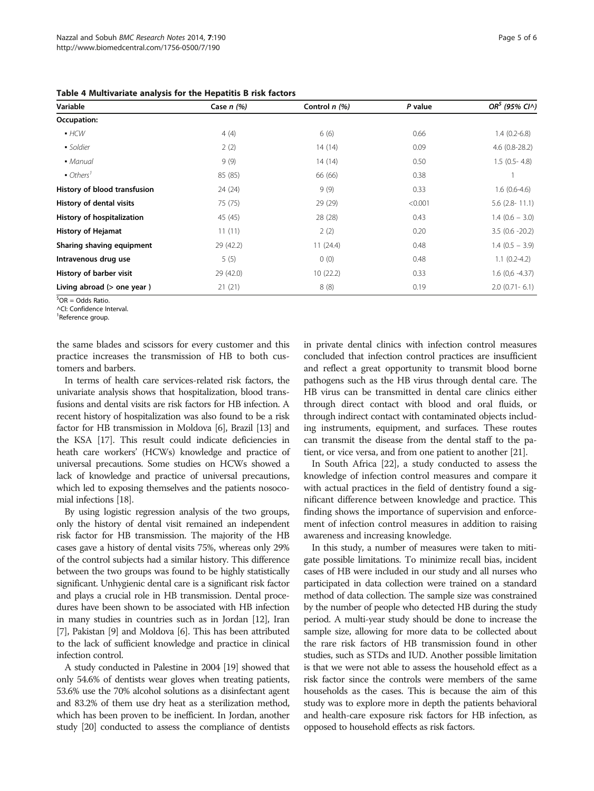| Variable                     | Case $n$ (%) | Control n (%) | P value | $OR^5$ (95% CI^)   |
|------------------------------|--------------|---------------|---------|--------------------|
| <b>Occupation:</b>           |              |               |         |                    |
| $-HCW$                       | 4(4)         | 6(6)          | 0.66    | $1.4(0.2-6.8)$     |
| • Soldier                    | 2(2)         | 14(14)        | 0.09    | $4.6(0.8-28.2)$    |
| • Manual                     | 9(9)         | 14 (14)       | 0.50    | $1.5$ (0.5-4.8)    |
| $\bullet$ Others'            | 85 (85)      | 66 (66)       | 0.38    |                    |
| History of blood transfusion | 24 (24)      | 9(9)          | 0.33    | $1.6(0.6-4.6)$     |
| History of dental visits     | 75 (75)      | 29 (29)       | < 0.001 | $5.6$ (2.8-11.1)   |
| History of hospitalization   | 45 (45)      | 28 (28)       | 0.43    | $1.4(0.6 - 3.0)$   |
| History of Hejamat           | 11(11)       | 2(2)          | 0.20    | $3.5(0.6 - 20.2)$  |
| Sharing shaving equipment    | 29 (42.2)    | 11(24.4)      | 0.48    | $1.4(0.5 - 3.9)$   |
| Intravenous drug use         | 5(5)         | 0(0)          | 0.48    | $1.1(0.2-4.2)$     |
| History of barber visit      | 29 (42.0)    | 10(22.2)      | 0.33    | $1.6(0.6 - 4.37)$  |
| Living abroad (> one year)   | 21(21)       | 8(8)          | 0.19    | $2.0$ (0.71 - 6.1) |

<span id="page-4-0"></span>Table 4 Multivariate analysis for the Hepatitis B risk factors

<sup>\$</sup>OR = Odds Ratio.

^CI: Confidence Interval.

<sup>1</sup>Reference group.

the same blades and scissors for every customer and this practice increases the transmission of HB to both customers and barbers.

In terms of health care services-related risk factors, the univariate analysis shows that hospitalization, blood transfusions and dental visits are risk factors for HB infection. A recent history of hospitalization was also found to be a risk factor for HB transmission in Moldova [\[6](#page-5-0)], Brazil [\[13\]](#page-5-0) and the KSA [[17](#page-5-0)]. This result could indicate deficiencies in heath care workers' (HCWs) knowledge and practice of universal precautions. Some studies on HCWs showed a lack of knowledge and practice of universal precautions, which led to exposing themselves and the patients nosocomial infections [[18](#page-5-0)].

By using logistic regression analysis of the two groups, only the history of dental visit remained an independent risk factor for HB transmission. The majority of the HB cases gave a history of dental visits 75%, whereas only 29% of the control subjects had a similar history. This difference between the two groups was found to be highly statistically significant. Unhygienic dental care is a significant risk factor and plays a crucial role in HB transmission. Dental procedures have been shown to be associated with HB infection in many studies in countries such as in Jordan [\[12](#page-5-0)], Iran [[7](#page-5-0)], Pakistan [\[9\]](#page-5-0) and Moldova [[6](#page-5-0)]. This has been attributed to the lack of sufficient knowledge and practice in clinical infection control.

A study conducted in Palestine in 2004 [\[19](#page-5-0)] showed that only 54.6% of dentists wear gloves when treating patients, 53.6% use the 70% alcohol solutions as a disinfectant agent and 83.2% of them use dry heat as a sterilization method, which has been proven to be inefficient. In Jordan, another study [\[20\]](#page-5-0) conducted to assess the compliance of dentists

in private dental clinics with infection control measures concluded that infection control practices are insufficient and reflect a great opportunity to transmit blood borne pathogens such as the HB virus through dental care. The HB virus can be transmitted in dental care clinics either through direct contact with blood and oral fluids, or through indirect contact with contaminated objects including instruments, equipment, and surfaces. These routes can transmit the disease from the dental staff to the patient, or vice versa, and from one patient to another [[21](#page-5-0)].

In South Africa [\[22\]](#page-5-0), a study conducted to assess the knowledge of infection control measures and compare it with actual practices in the field of dentistry found a significant difference between knowledge and practice. This finding shows the importance of supervision and enforcement of infection control measures in addition to raising awareness and increasing knowledge.

In this study, a number of measures were taken to mitigate possible limitations. To minimize recall bias, incident cases of HB were included in our study and all nurses who participated in data collection were trained on a standard method of data collection. The sample size was constrained by the number of people who detected HB during the study period. A multi-year study should be done to increase the sample size, allowing for more data to be collected about the rare risk factors of HB transmission found in other studies, such as STDs and IUD. Another possible limitation is that we were not able to assess the household effect as a risk factor since the controls were members of the same households as the cases. This is because the aim of this study was to explore more in depth the patients behavioral and health-care exposure risk factors for HB infection, as opposed to household effects as risk factors.